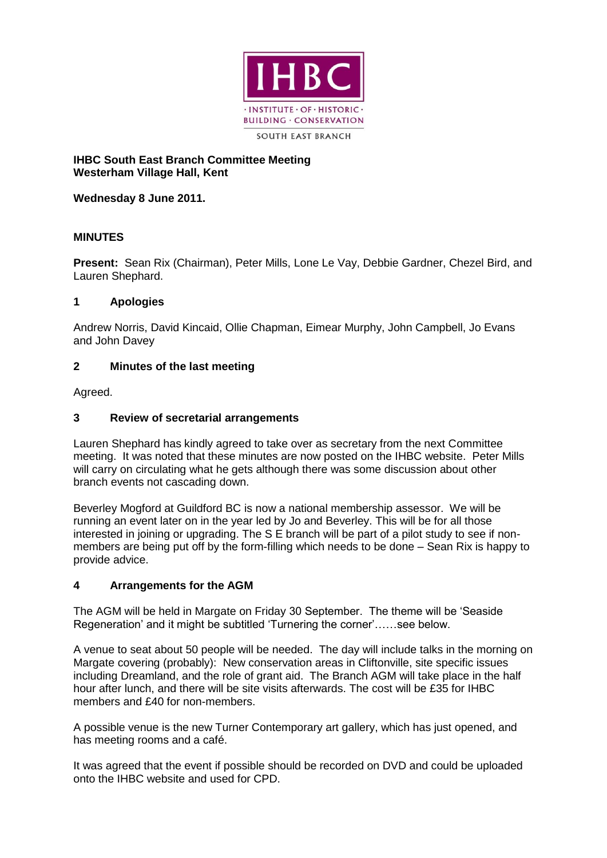

## **IHBC South East Branch Committee Meeting Westerham Village Hall, Kent**

**Wednesday 8 June 2011.**

# **MINUTES**

**Present:** Sean Rix (Chairman), Peter Mills, Lone Le Vay, Debbie Gardner, Chezel Bird, and Lauren Shephard.

## **1 Apologies**

Andrew Norris, David Kincaid, Ollie Chapman, Eimear Murphy, John Campbell, Jo Evans and John Davey

# **2 Minutes of the last meeting**

Agreed.

# **3 Review of secretarial arrangements**

Lauren Shephard has kindly agreed to take over as secretary from the next Committee meeting. It was noted that these minutes are now posted on the IHBC website. Peter Mills will carry on circulating what he gets although there was some discussion about other branch events not cascading down.

Beverley Mogford at Guildford BC is now a national membership assessor. We will be running an event later on in the year led by Jo and Beverley. This will be for all those interested in joining or upgrading. The S E branch will be part of a pilot study to see if nonmembers are being put off by the form-filling which needs to be done – Sean Rix is happy to provide advice.

# **4 Arrangements for the AGM**

The AGM will be held in Margate on Friday 30 September. The theme will be 'Seaside Regeneration' and it might be subtitled 'Turnering the corner'……see below.

A venue to seat about 50 people will be needed. The day will include talks in the morning on Margate covering (probably): New conservation areas in Cliftonville, site specific issues including Dreamland, and the role of grant aid. The Branch AGM will take place in the half hour after lunch, and there will be site visits afterwards. The cost will be £35 for IHBC members and £40 for non-members.

A possible venue is the new Turner Contemporary art gallery, which has just opened, and has meeting rooms and a café.

It was agreed that the event if possible should be recorded on DVD and could be uploaded onto the IHBC website and used for CPD.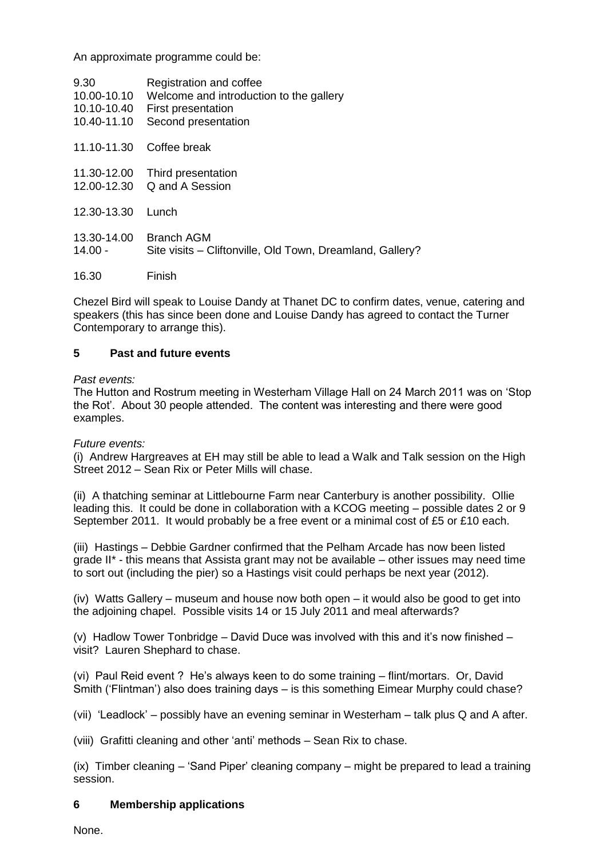An approximate programme could be:

| 9.30        | Registration and coffee                                   |
|-------------|-----------------------------------------------------------|
| 10.00-10.10 | Welcome and introduction to the gallery                   |
| 10.10-10.40 | First presentation                                        |
| 10.40-11.10 | Second presentation                                       |
| 11.10-11.30 | Coffee break                                              |
| 11.30-12.00 | Third presentation                                        |
| 12.00-12.30 | Q and A Session                                           |
| 12.30-13.30 | Lunch                                                     |
| 13.30-14.00 | <b>Branch AGM</b>                                         |
| $14.00 -$   | Site visits - Cliftonville, Old Town, Dreamland, Gallery? |
| 16.30       | Finish                                                    |

Chezel Bird will speak to Louise Dandy at Thanet DC to confirm dates, venue, catering and speakers (this has since been done and Louise Dandy has agreed to contact the Turner Contemporary to arrange this).

### **5 Past and future events**

### *Past events:*

The Hutton and Rostrum meeting in Westerham Village Hall on 24 March 2011 was on 'Stop the Rot'. About 30 people attended. The content was interesting and there were good examples.

### *Future events:*

(i) Andrew Hargreaves at EH may still be able to lead a Walk and Talk session on the High Street 2012 – Sean Rix or Peter Mills will chase.

(ii) A thatching seminar at Littlebourne Farm near Canterbury is another possibility. Ollie leading this. It could be done in collaboration with a KCOG meeting – possible dates 2 or 9 September 2011. It would probably be a free event or a minimal cost of £5 or £10 each.

(iii) Hastings – Debbie Gardner confirmed that the Pelham Arcade has now been listed grade II\* - this means that Assista grant may not be available – other issues may need time to sort out (including the pier) so a Hastings visit could perhaps be next year (2012).

(iv) Watts Gallery – museum and house now both open – it would also be good to get into the adjoining chapel. Possible visits 14 or 15 July 2011 and meal afterwards?

(v) Hadlow Tower Tonbridge – David Duce was involved with this and it's now finished – visit? Lauren Shephard to chase.

(vi) Paul Reid event ? He's always keen to do some training – flint/mortars. Or, David Smith ('Flintman') also does training days – is this something Eimear Murphy could chase?

(vii) 'Leadlock' – possibly have an evening seminar in Westerham – talk plus Q and A after.

(viii) Grafitti cleaning and other 'anti' methods – Sean Rix to chase.

(ix) Timber cleaning – 'Sand Piper' cleaning company – might be prepared to lead a training session.

### **6 Membership applications**

None.